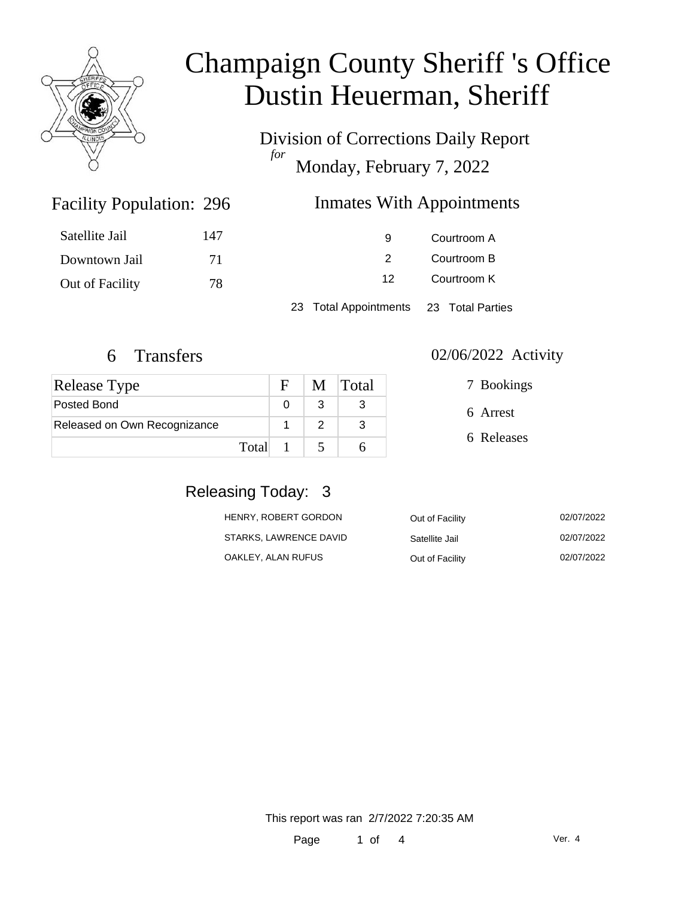

Division of Corrections Daily Report *for* Monday, February 7, 2022

### Inmates With Appointments

| Satellite Jail  | 147 | 9                                      | Courtroom A |
|-----------------|-----|----------------------------------------|-------------|
| Downtown Jail   | 71  |                                        | Courtroom B |
| Out of Facility | 78  | Courtroom K<br>12                      |             |
|                 |     | 23 Total Appointments 23 Total Parties |             |

Facility Population: 296

| <b>Release Type</b>          |         | F | M Total |
|------------------------------|---------|---|---------|
| Posted Bond                  |         |   |         |
| Released on Own Recognizance |         |   |         |
|                              | Total 1 |   |         |

#### 6 Transfers 02/06/2022 Activity

| 7 Bookings |
|------------|
| 6 Arrest   |
| 6 Releases |
|            |

#### Releasing Today: 3

| HENRY, ROBERT GORDON   | Out of Facility | 02/07/2022 |
|------------------------|-----------------|------------|
| STARKS, LAWRENCE DAVID | Satellite Jail  | 02/07/2022 |
| OAKLEY, ALAN RUFUS     | Out of Facility | 02/07/2022 |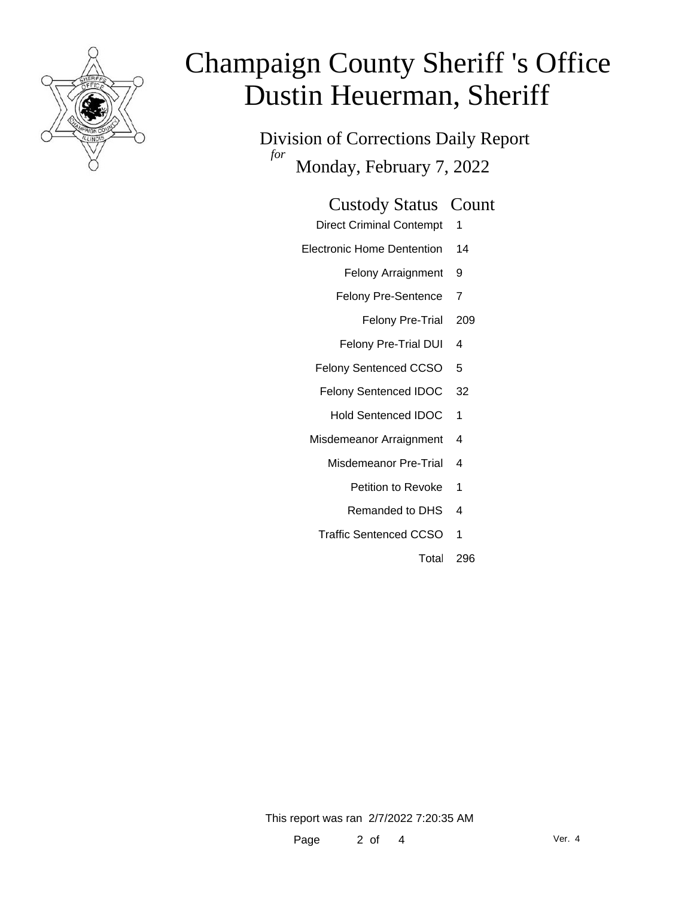

Division of Corrections Daily Report *for* Monday, February 7, 2022

| <b>Custody Status Count</b> |  |
|-----------------------------|--|
|-----------------------------|--|

- Direct Criminal Contempt 1
- Electronic Home Dentention 14
	- Felony Arraignment 9
	- Felony Pre-Sentence 7
		- Felony Pre-Trial 209
	- Felony Pre-Trial DUI 4
	- Felony Sentenced CCSO 5
	- Felony Sentenced IDOC 32
		- Hold Sentenced IDOC 1
	- Misdemeanor Arraignment 4
		- Misdemeanor Pre-Trial 4
			- Petition to Revoke 1
			- Remanded to DHS 4
		- Traffic Sentenced CCSO 1
			- Total 296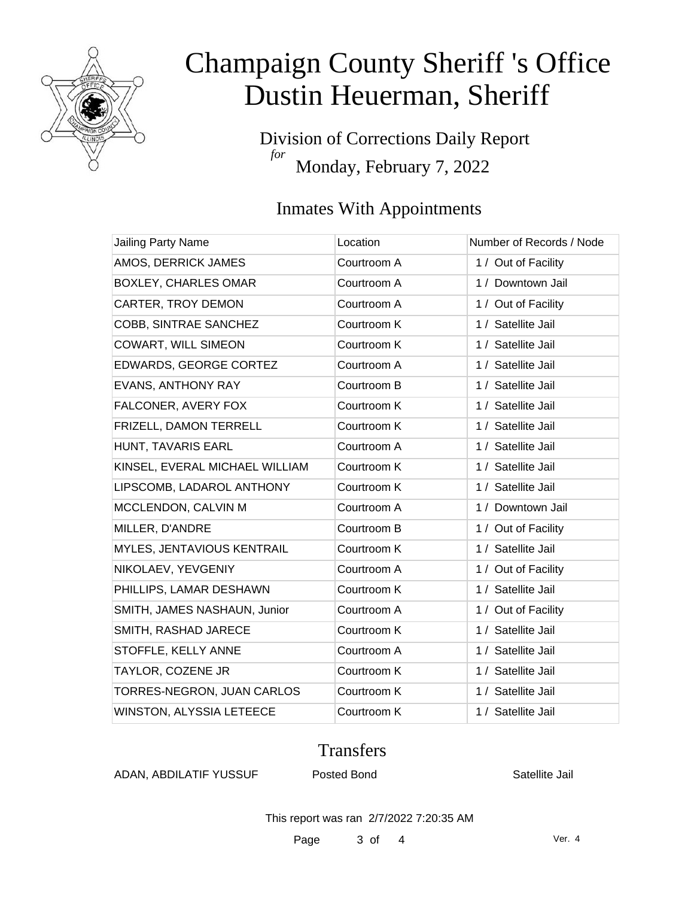

Division of Corrections Daily Report *for* Monday, February 7, 2022

### Inmates With Appointments

| Location    | Number of Records / Node |
|-------------|--------------------------|
| Courtroom A | 1 / Out of Facility      |
| Courtroom A | 1 / Downtown Jail        |
| Courtroom A | 1 / Out of Facility      |
| Courtroom K | 1 / Satellite Jail       |
| Courtroom K | 1 / Satellite Jail       |
| Courtroom A | 1 / Satellite Jail       |
| Courtroom B | 1 / Satellite Jail       |
| Courtroom K | 1 / Satellite Jail       |
| Courtroom K | 1 / Satellite Jail       |
| Courtroom A | 1 / Satellite Jail       |
| Courtroom K | 1 / Satellite Jail       |
| Courtroom K | 1 / Satellite Jail       |
| Courtroom A | 1 / Downtown Jail        |
| Courtroom B | 1 / Out of Facility      |
| Courtroom K | 1 / Satellite Jail       |
| Courtroom A | 1 / Out of Facility      |
| Courtroom K | 1 / Satellite Jail       |
| Courtroom A | 1 / Out of Facility      |
| Courtroom K | 1 / Satellite Jail       |
| Courtroom A | 1 / Satellite Jail       |
| Courtroom K | 1 / Satellite Jail       |
| Courtroom K | 1 / Satellite Jail       |
| Courtroom K | 1 / Satellite Jail       |
|             |                          |

#### **Transfers**

ADAN, ABDILATIF YUSSUF Posted Bond The Satellite Jail